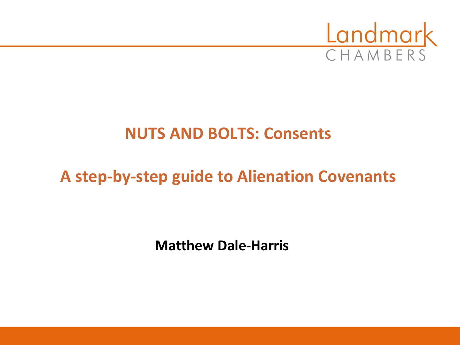

#### **NUTS AND BOLTS: Consents**

# **A step-by-step guide to Alienation Covenants**

**Matthew Dale-Harris**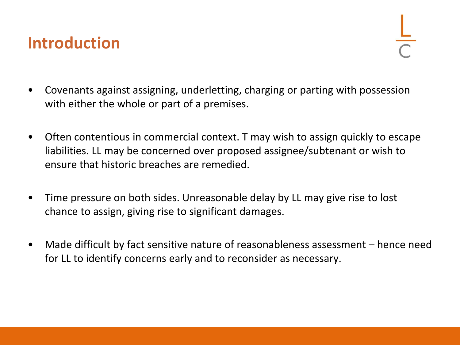#### **Introduction**

- Covenants against assigning, underletting, charging or parting with possession with either the whole or part of a premises.
- Often contentious in commercial context. T may wish to assign quickly to escape liabilities. LL may be concerned over proposed assignee/subtenant or wish to ensure that historic breaches are remedied.
- Time pressure on both sides. Unreasonable delay by LL may give rise to lost chance to assign, giving rise to significant damages.
- Made difficult by fact sensitive nature of reasonableness assessment hence need for LL to identify concerns early and to reconsider as necessary.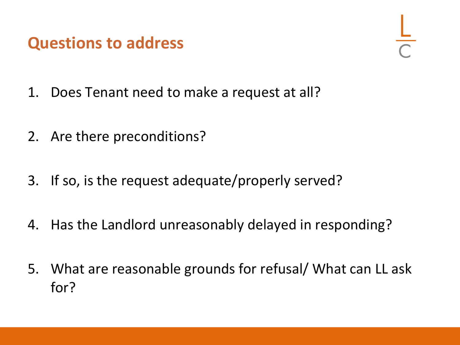#### **Questions to address**

- 1. Does Tenant need to make a request at all?
- 2. Are there preconditions?
- 3. If so, is the request adequate/properly served?
- 4. Has the Landlord unreasonably delayed in responding?
- 5. What are reasonable grounds for refusal/ What can LL ask for?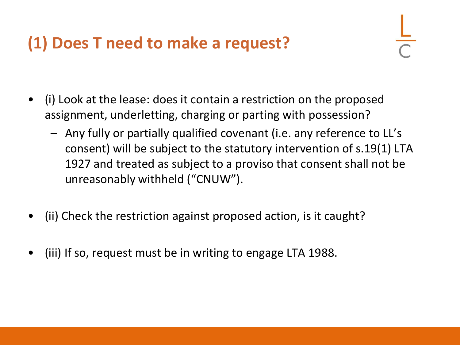### **(1) Does T need to make a request?**

- (i) Look at the lease: does it contain a restriction on the proposed assignment, underletting, charging or parting with possession?
	- Any fully or partially qualified covenant (i.e. any reference to LL's consent) will be subject to the statutory intervention of s.19(1) LTA 1927 and treated as subject to a proviso that consent shall not be unreasonably withheld ("CNUW").
- (ii) Check the restriction against proposed action, is it caught?
- (iii) If so, request must be in writing to engage LTA 1988.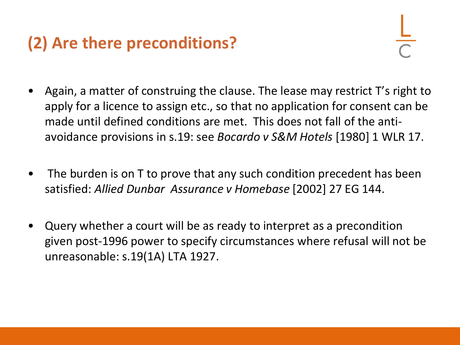# **(2) Are there preconditions?**

- Again, a matter of construing the clause. The lease may restrict T's right to apply for a licence to assign etc., so that no application for consent can be made until defined conditions are met. This does not fall of the antiavoidance provisions in s.19: see *Bocardo v S&M Hotels* [1980] 1 WLR 17.
- The burden is on T to prove that any such condition precedent has been satisfied: *Allied Dunbar Assurance v Homebase* [2002] 27 EG 144.
- Query whether a court will be as ready to interpret as a precondition given post-1996 power to specify circumstances where refusal will not be unreasonable: s.19(1A) LTA 1927.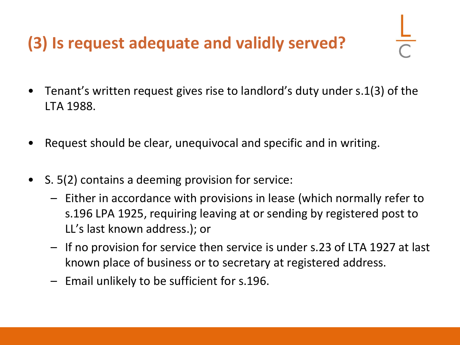# **(3) Is request adequate and validly served?**

- Tenant's written request gives rise to landlord's duty under s.1(3) of the LTA 1988.
- Request should be clear, unequivocal and specific and in writing.
- S. 5(2) contains a deeming provision for service:
	- Either in accordance with provisions in lease (which normally refer to s.196 LPA 1925, requiring leaving at or sending by registered post to LL's last known address.); or
	- If no provision for service then service is under s.23 of LTA 1927 at last known place of business or to secretary at registered address.
	- Email unlikely to be sufficient for s.196.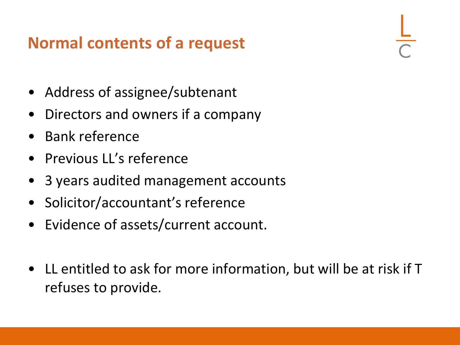## **Normal contents of a request**

- Address of assignee/subtenant
- Directors and owners if a company
- Bank reference
- Previous LL's reference
- 3 years audited management accounts
- Solicitor/accountant's reference
- Evidence of assets/current account.
- LL entitled to ask for more information, but will be at risk if T refuses to provide.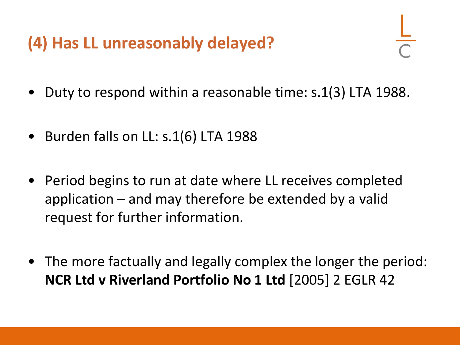# **(4) Has LL unreasonably delayed?**

- Duty to respond within a reasonable time: s.1(3) LTA 1988.
- Burden falls on LL: s.1(6) LTA 1988
- Period begins to run at date where LL receives completed application – and may therefore be extended by a valid request for further information.
- The more factually and legally complex the longer the period: **NCR Ltd v Riverland Portfolio No 1 Ltd** [2005] 2 EGLR 42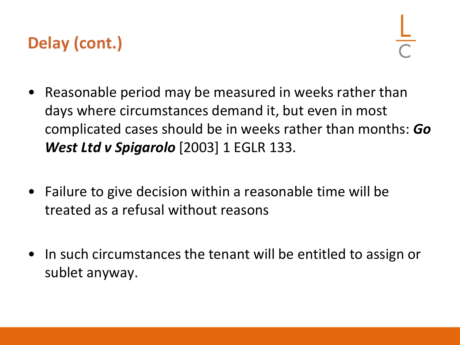# **Delay (cont.)**

- Reasonable period may be measured in weeks rather than days where circumstances demand it, but even in most complicated cases should be in weeks rather than months: *Go West Ltd v Spigarolo* [2003] 1 EGLR 133.
- Failure to give decision within a reasonable time will be treated as a refusal without reasons
- In such circumstances the tenant will be entitled to assign or sublet anyway.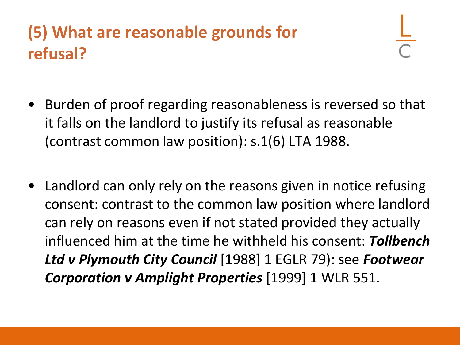# **(5) What are reasonable grounds for refusal?**

- Burden of proof regarding reasonableness is reversed so that it falls on the landlord to justify its refusal as reasonable (contrast common law position): s.1(6) LTA 1988.
- Landlord can only rely on the reasons given in notice refusing consent: contrast to the common law position where landlord can rely on reasons even if not stated provided they actually influenced him at the time he withheld his consent: *Tollbench Ltd v Plymouth City Council* [1988] 1 EGLR 79): see *Footwear Corporation v Amplight Properties* [1999] 1 WLR 551.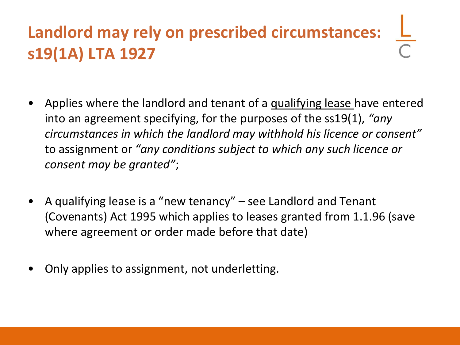# **Landlord may rely on prescribed circumstances: s19(1A) LTA 1927**

- Applies where the landlord and tenant of a qualifying lease have entered into an agreement specifying, for the purposes of the ss19(1), *"any circumstances in which the landlord may withhold his licence or consent"* to assignment or *"any conditions subject to which any such licence or consent may be granted"*;
- A qualifying lease is a "new tenancy" see Landlord and Tenant (Covenants) Act 1995 which applies to leases granted from 1.1.96 (save where agreement or order made before that date)
- Only applies to assignment, not underletting.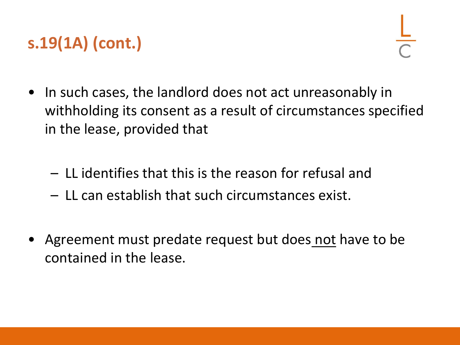# **s.19(1A) (cont.)**

- In such cases, the landlord does not act unreasonably in withholding its consent as a result of circumstances specified in the lease, provided that
	- LL identifies that this is the reason for refusal and
	- LL can establish that such circumstances exist.
- Agreement must predate request but does not have to be contained in the lease.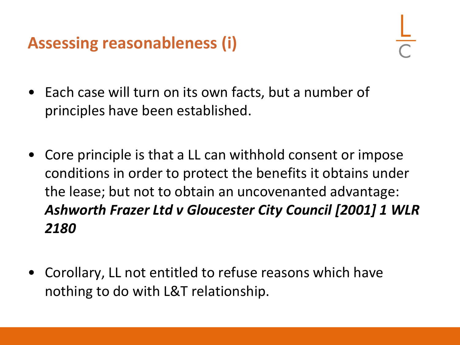# **Assessing reasonableness (i)**

- Each case will turn on its own facts, but a number of principles have been established.
- Core principle is that a LL can withhold consent or impose conditions in order to protect the benefits it obtains under the lease; but not to obtain an uncovenanted advantage: *Ashworth Frazer Ltd v Gloucester City Council [2001] 1 WLR 2180*
- Corollary, LL not entitled to refuse reasons which have nothing to do with L&T relationship.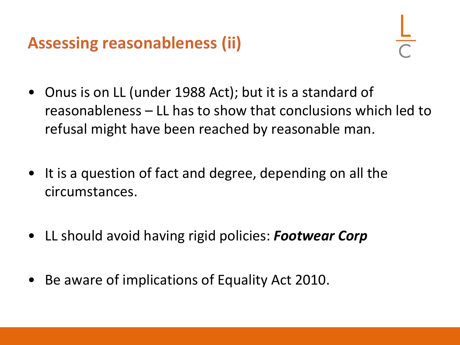# **Assessing reasonableness (ii)**

- Onus is on LL (under 1988 Act); but it is a standard of reasonableness – LL has to show that conclusions which led to refusal might have been reached by reasonable man.
- It is a question of fact and degree, depending on all the circumstances.
- LL should avoid having rigid policies: *Footwear Corp*
- Be aware of implications of Equality Act 2010.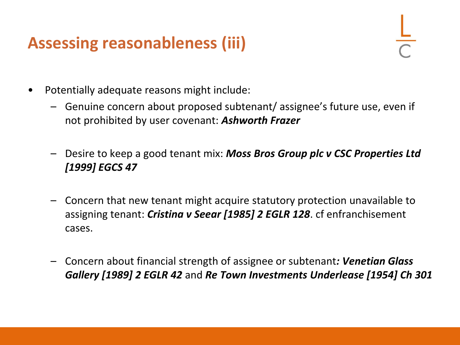## **Assessing reasonableness (iii)**

- Potentially adequate reasons might include:
	- Genuine concern about proposed subtenant/ assignee's future use, even if not prohibited by user covenant: *Ashworth Frazer*
	- Desire to keep a good tenant mix: *Moss Bros Group plc v CSC Properties Ltd [1999] EGCS 47*
	- Concern that new tenant might acquire statutory protection unavailable to assigning tenant: *Cristina v Seear [1985] 2 EGLR 128*. cf enfranchisement cases.
	- Concern about financial strength of assignee or subtenant*: Venetian Glass Gallery [1989] 2 EGLR 42* and *Re Town Investments Underlease [1954] Ch 301*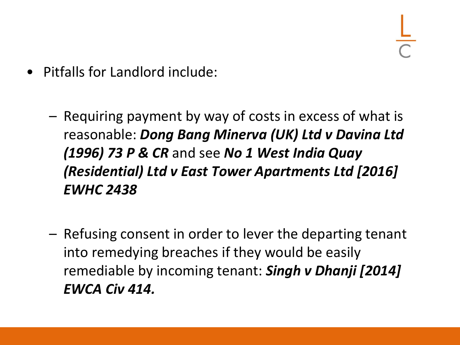- Pitfalls for Landlord include:
	- Requiring payment by way of costs in excess of what is reasonable: *Dong Bang Minerva (UK) Ltd v Davina Ltd (1996) 73 P & CR* and see *No 1 West India Quay (Residential) Ltd v East Tower Apartments Ltd [2016] EWHC 2438*
	- Refusing consent in order to lever the departing tenant into remedying breaches if they would be easily remediable by incoming tenant: *Singh v Dhanji [2014] EWCA Civ 414.*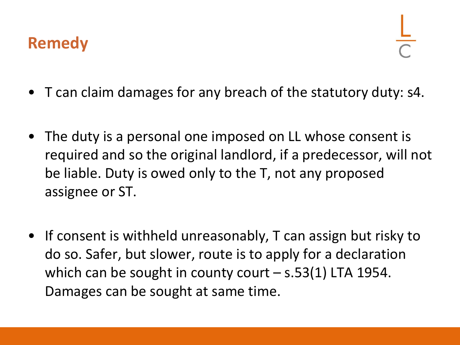#### **Remedy**

- T can claim damages for any breach of the statutory duty: s4.
- The duty is a personal one imposed on LL whose consent is required and so the original landlord, if a predecessor, will not be liable. Duty is owed only to the T, not any proposed assignee or ST.
- If consent is withheld unreasonably, T can assign but risky to do so. Safer, but slower, route is to apply for a declaration which can be sought in county court  $-$  s.53(1) LTA 1954. Damages can be sought at same time.